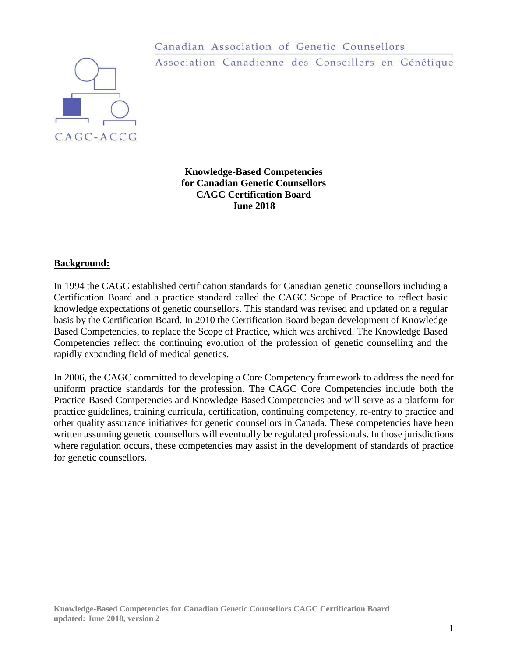

Canadian Association of Genetic Counsellors Association Canadienne des Conseillers en Génétique

**Knowledge-Based Competencies for Canadian Genetic Counsellors CAGC Certification Board June 2018**

#### **Background:**

In 1994 the CAGC established certification standards for Canadian genetic counsellors including a Certification Board and a practice standard called the CAGC Scope of Practice to reflect basic knowledge expectations of genetic counsellors. This standard was revised and updated on a regular basis by the Certification Board. In 2010 the Certification Board began development of Knowledge Based Competencies, to replace the Scope of Practice, which was archived. The Knowledge Based Competencies reflect the continuing evolution of the profession of genetic counselling and the rapidly expanding field of medical genetics.

In 2006, the CAGC committed to developing a Core Competency framework to address the need for uniform practice standards for the profession. The CAGC Core Competencies include both the Practice Based Competencies and Knowledge Based Competencies and will serve as a platform for practice guidelines, training curricula, certification, continuing competency, re-entry to practice and other quality assurance initiatives for genetic counsellors in Canada. These competencies have been written assuming genetic counsellors will eventually be regulated professionals. In those jurisdictions where regulation occurs, these competencies may assist in the development of standards of practice for genetic counsellors.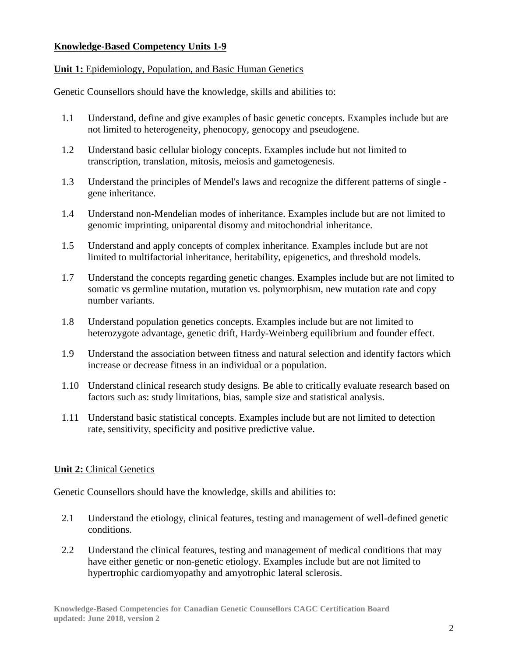#### **Knowledge-Based Competency Units 1-9**

#### **Unit 1:** Epidemiology, Population, and Basic Human Genetics

Genetic Counsellors should have the knowledge, skills and abilities to:

- 1.1 Understand, define and give examples of basic genetic concepts. Examples include but are not limited to heterogeneity, phenocopy, genocopy and pseudogene.
- 1.2 Understand basic cellular biology concepts. Examples include but not limited to transcription, translation, mitosis, meiosis and gametogenesis.
- 1.3 Understand the principles of Mendel's laws and recognize the different patterns of single gene inheritance.
- 1.4 Understand non-Mendelian modes of inheritance. Examples include but are not limited to genomic imprinting, uniparental disomy and mitochondrial inheritance.
- 1.5 Understand and apply concepts of complex inheritance. Examples include but are not limited to multifactorial inheritance, heritability, epigenetics, and threshold models.
- 1.7 Understand the concepts regarding genetic changes. Examples include but are not limited to somatic vs germline mutation, mutation vs. polymorphism, new mutation rate and copy number variants.
- 1.8 Understand population genetics concepts. Examples include but are not limited to heterozygote advantage, genetic drift, Hardy-Weinberg equilibrium and founder effect.
- 1.9 Understand the association between fitness and natural selection and identify factors which increase or decrease fitness in an individual or a population.
- 1.10 Understand clinical research study designs. Be able to critically evaluate research based on factors such as: study limitations, bias, sample size and statistical analysis.
- 1.11 Understand basic statistical concepts. Examples include but are not limited to detection rate, sensitivity, specificity and positive predictive value.

## **Unit 2:** Clinical Genetics

- 2.1 Understand the etiology, clinical features, testing and management of well-defined genetic conditions.
- 2.2 Understand the clinical features, testing and management of medical conditions that may have either genetic or non-genetic etiology. Examples include but are not limited to hypertrophic cardiomyopathy and amyotrophic lateral sclerosis.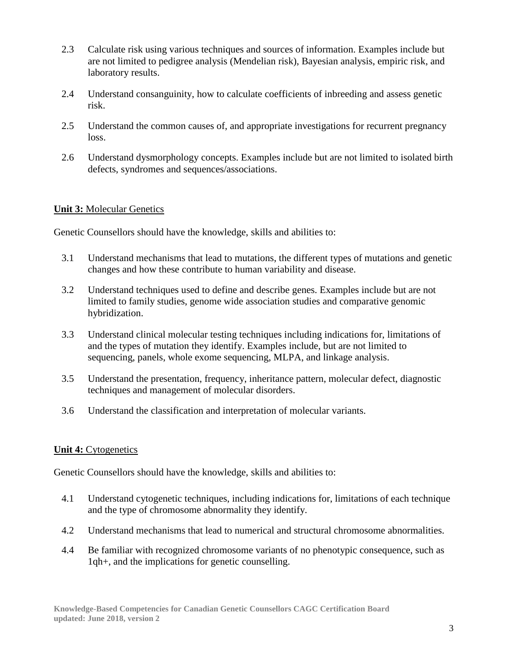- 2.3 Calculate risk using various techniques and sources of information. Examples include but are not limited to pedigree analysis (Mendelian risk), Bayesian analysis, empiric risk, and laboratory results.
- 2.4 Understand consanguinity, how to calculate coefficients of inbreeding and assess genetic risk.
- 2.5 Understand the common causes of, and appropriate investigations for recurrent pregnancy loss.
- 2.6 Understand dysmorphology concepts. Examples include but are not limited to isolated birth defects, syndromes and sequences/associations.

# **Unit 3:** Molecular Genetics

Genetic Counsellors should have the knowledge, skills and abilities to:

- 3.1 Understand mechanisms that lead to mutations, the different types of mutations and genetic changes and how these contribute to human variability and disease.
- 3.2 Understand techniques used to define and describe genes. Examples include but are not limited to family studies, genome wide association studies and comparative genomic hybridization.
- 3.3 Understand clinical molecular testing techniques including indications for, limitations of and the types of mutation they identify. Examples include, but are not limited to sequencing, panels, whole exome sequencing, MLPA, and linkage analysis.
- 3.5 Understand the presentation, frequency, inheritance pattern, molecular defect, diagnostic techniques and management of molecular disorders.
- 3.6 Understand the classification and interpretation of molecular variants.

## **Unit 4:** Cytogenetics

- 4.1 Understand cytogenetic techniques, including indications for, limitations of each technique and the type of chromosome abnormality they identify.
- 4.2 Understand mechanisms that lead to numerical and structural chromosome abnormalities.
- 4.4 Be familiar with recognized chromosome variants of no phenotypic consequence, such as 1qh+, and the implications for genetic counselling.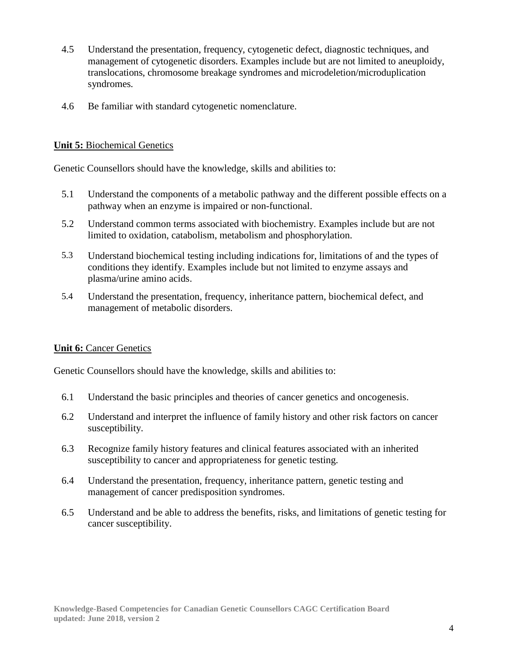- 4.5 Understand the presentation, frequency, cytogenetic defect, diagnostic techniques, and management of cytogenetic disorders. Examples include but are not limited to aneuploidy, translocations, chromosome breakage syndromes and microdeletion/microduplication syndromes.
- 4.6 Be familiar with standard cytogenetic nomenclature.

#### **Unit 5:** Biochemical Genetics

Genetic Counsellors should have the knowledge, skills and abilities to:

- 5.1 Understand the components of a metabolic pathway and the different possible effects on a pathway when an enzyme is impaired or non-functional.
- 5.2 Understand common terms associated with biochemistry. Examples include but are not limited to oxidation, catabolism, metabolism and phosphorylation.
- 5.3 Understand biochemical testing including indications for, limitations of and the types of conditions they identify. Examples include but not limited to enzyme assays and plasma/urine amino acids.
- 5.4 Understand the presentation, frequency, inheritance pattern, biochemical defect, and management of metabolic disorders.

## **Unit 6:** Cancer Genetics

- 6.1 Understand the basic principles and theories of cancer genetics and oncogenesis.
- 6.2 Understand and interpret the influence of family history and other risk factors on cancer susceptibility.
- 6.3 Recognize family history features and clinical features associated with an inherited susceptibility to cancer and appropriateness for genetic testing.
- 6.4 Understand the presentation, frequency, inheritance pattern, genetic testing and management of cancer predisposition syndromes.
- 6.5 Understand and be able to address the benefits, risks, and limitations of genetic testing for cancer susceptibility.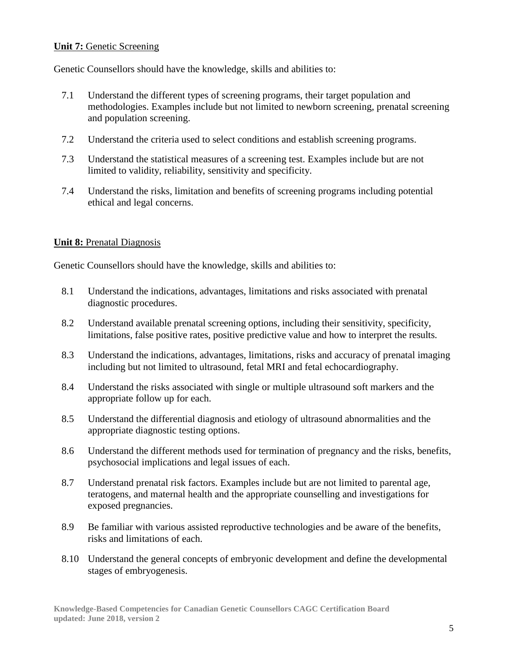## **Unit 7:** Genetic Screening

Genetic Counsellors should have the knowledge, skills and abilities to:

- 7.1 Understand the different types of screening programs, their target population and methodologies. Examples include but not limited to newborn screening, prenatal screening and population screening.
- 7.2 Understand the criteria used to select conditions and establish screening programs.
- 7.3 Understand the statistical measures of a screening test. Examples include but are not limited to validity, reliability, sensitivity and specificity.
- 7.4 Understand the risks, limitation and benefits of screening programs including potential ethical and legal concerns.

#### **Unit 8:** Prenatal Diagnosis

- 8.1 Understand the indications, advantages, limitations and risks associated with prenatal diagnostic procedures.
- 8.2 Understand available prenatal screening options, including their sensitivity, specificity, limitations, false positive rates, positive predictive value and how to interpret the results.
- 8.3 Understand the indications, advantages, limitations, risks and accuracy of prenatal imaging including but not limited to ultrasound, fetal MRI and fetal echocardiography.
- 8.4 Understand the risks associated with single or multiple ultrasound soft markers and the appropriate follow up for each.
- 8.5 Understand the differential diagnosis and etiology of ultrasound abnormalities and the appropriate diagnostic testing options.
- 8.6 Understand the different methods used for termination of pregnancy and the risks, benefits, psychosocial implications and legal issues of each.
- 8.7 Understand prenatal risk factors. Examples include but are not limited to parental age, teratogens, and maternal health and the appropriate counselling and investigations for exposed pregnancies.
- 8.9 Be familiar with various assisted reproductive technologies and be aware of the benefits, risks and limitations of each.
- 8.10 Understand the general concepts of embryonic development and define the developmental stages of embryogenesis.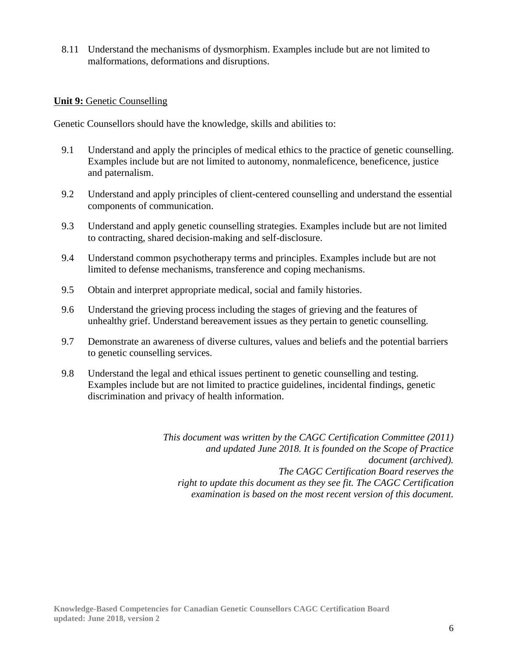8.11 Understand the mechanisms of dysmorphism. Examples include but are not limited to malformations, deformations and disruptions.

#### **Unit 9:** Genetic Counselling

Genetic Counsellors should have the knowledge, skills and abilities to:

- 9.1 Understand and apply the principles of medical ethics to the practice of genetic counselling. Examples include but are not limited to autonomy, nonmaleficence, beneficence, justice and paternalism.
- 9.2 Understand and apply principles of client-centered counselling and understand the essential components of communication.
- 9.3 Understand and apply genetic counselling strategies. Examples include but are not limited to contracting, shared decision-making and self-disclosure.
- 9.4 Understand common psychotherapy terms and principles. Examples include but are not limited to defense mechanisms, transference and coping mechanisms.
- 9.5 Obtain and interpret appropriate medical, social and family histories.
- 9.6 Understand the grieving process including the stages of grieving and the features of unhealthy grief. Understand bereavement issues as they pertain to genetic counselling.
- 9.7 Demonstrate an awareness of diverse cultures, values and beliefs and the potential barriers to genetic counselling services.
- 9.8 Understand the legal and ethical issues pertinent to genetic counselling and testing. Examples include but are not limited to practice guidelines, incidental findings, genetic discrimination and privacy of health information.

*This document was written by the CAGC Certification Committee (2011) and updated June 2018. It is founded on the Scope of Practice document (archived). The CAGC Certification Board reserves the right to update this document as they see fit. The CAGC Certification examination is based on the most recent version of this document.*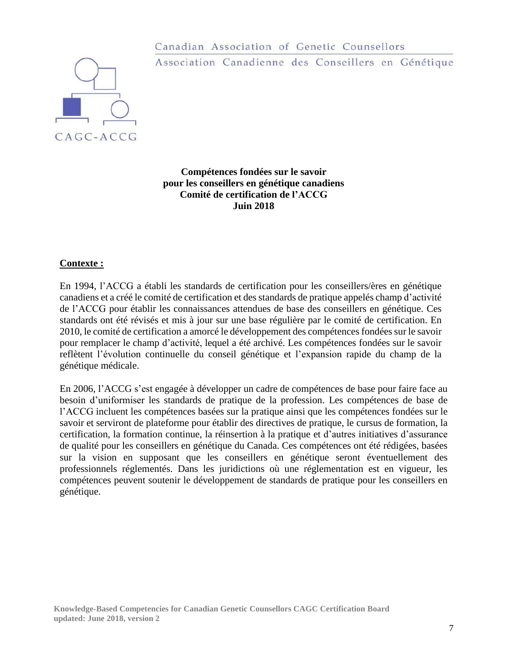

Canadian Association of Genetic Counsellors Association Canadienne des Conseillers en Génétique

**Compétences fondées sur le savoir pour les conseillers en génétique canadiens Comité de certification de l'ACCG Juin 2018**

#### **Contexte :**

En 1994, l'ACCG a établi les standards de certification pour les conseillers/ères en génétique canadiens et a créé le comité de certification et desstandards de pratique appelés champ d'activité de l'ACCG pour établir les connaissances attendues de base des conseillers en génétique. Ces standards ont été révisés et mis à jour sur une base régulière par le comité de certification. En 2010, le comité de certification a amorcé le développement des compétences fondées sur le savoir pour remplacer le champ d'activité, lequel a été archivé. Les compétences fondées sur le savoir reflètent l'évolution continuelle du conseil génétique et l'expansion rapide du champ de la génétique médicale.

En 2006, l'ACCG s'est engagée à développer un cadre de compétences de base pour faire face au besoin d'uniformiser les standards de pratique de la profession. Les compétences de base de l'ACCG incluent les compétences basées sur la pratique ainsi que les compétences fondées sur le savoir et serviront de plateforme pour établir des directives de pratique, le cursus de formation, la certification, la formation continue, la réinsertion à la pratique et d'autres initiatives d'assurance de qualité pour les conseillers en génétique du Canada. Ces compétences ont été rédigées, basées sur la vision en supposant que les conseillers en génétique seront éventuellement des professionnels réglementés. Dans les juridictions où une réglementation est en vigueur, les compétences peuvent soutenir le développement de standards de pratique pour les conseillers en génétique.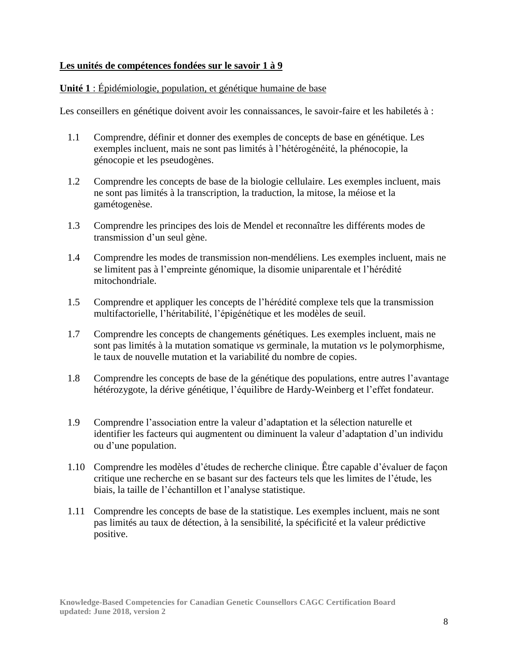## **Les unités de compétences fondées sur le savoir 1 à 9**

## **Unité 1** : Épidémiologie, population, et génétique humaine de base

- 1.1 Comprendre, définir et donner des exemples de concepts de base en génétique. Les exemples incluent, mais ne sont pas limités à l'hétérogénéité, la phénocopie, la génocopie et les pseudogènes.
- 1.2 Comprendre les concepts de base de la biologie cellulaire. Les exemples incluent, mais ne sont pas limités à la transcription, la traduction, la mitose, la méiose et la gamétogenèse.
- 1.3 Comprendre les principes des lois de Mendel et reconnaître les différents modes de transmission d'un seul gène.
- 1.4 Comprendre les modes de transmission non-mendéliens. Les exemples incluent, mais ne se limitent pas à l'empreinte génomique, la disomie uniparentale et l'hérédité mitochondriale.
- 1.5 Comprendre et appliquer les concepts de l'hérédité complexe tels que la transmission multifactorielle, l'héritabilité, l'épigénétique et les modèles de seuil.
- 1.7 Comprendre les concepts de changements génétiques. Les exemples incluent, mais ne sont pas limités à la mutation somatique *vs* germinale, la mutation *vs* le polymorphisme, le taux de nouvelle mutation et la variabilité du nombre de copies.
- 1.8 Comprendre les concepts de base de la génétique des populations, entre autres l'avantage hétérozygote, la dérive génétique, l'équilibre de Hardy-Weinberg et l'effet fondateur.
- 1.9 Comprendre l'association entre la valeur d'adaptation et la sélection naturelle et identifier les facteurs qui augmentent ou diminuent la valeur d'adaptation d'un individu ou d'une population.
- 1.10 Comprendre les modèles d'études de recherche clinique. Être capable d'évaluer de façon critique une recherche en se basant sur des facteurs tels que les limites de l'étude, les biais, la taille de l'échantillon et l'analyse statistique.
- 1.11 Comprendre les concepts de base de la statistique. Les exemples incluent, mais ne sont pas limités au taux de détection, à la sensibilité, la spécificité et la valeur prédictive positive.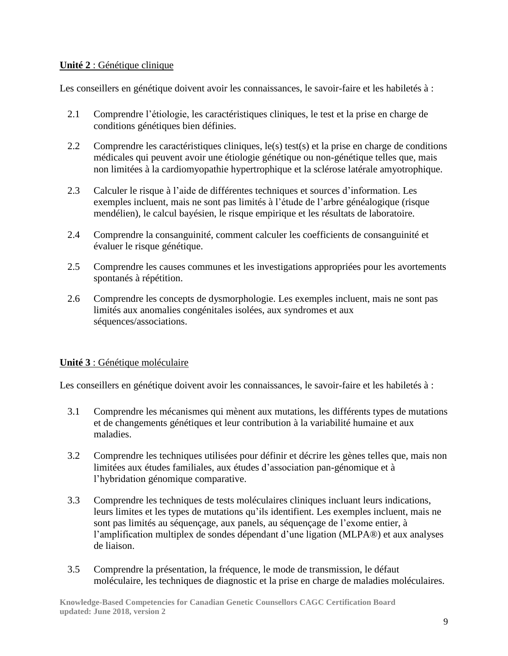## **Unité 2** : Génétique clinique

Les conseillers en génétique doivent avoir les connaissances, le savoir-faire et les habiletés à :

- 2.1 Comprendre l'étiologie, les caractéristiques cliniques, le test et la prise en charge de conditions génétiques bien définies.
- 2.2 Comprendre les caractéristiques cliniques, le(s) test(s) et la prise en charge de conditions médicales qui peuvent avoir une étiologie génétique ou non-génétique telles que, mais non limitées à la cardiomyopathie hypertrophique et la sclérose latérale amyotrophique.
- 2.3 Calculer le risque à l'aide de différentes techniques et sources d'information. Les exemples incluent, mais ne sont pas limités à l'étude de l'arbre généalogique (risque mendélien), le calcul bayésien, le risque empirique et les résultats de laboratoire.
- 2.4 Comprendre la consanguinité, comment calculer les coefficients de consanguinité et évaluer le risque génétique.
- 2.5 Comprendre les causes communes et les investigations appropriées pour les avortements spontanés à répétition.
- 2.6 Comprendre les concepts de dysmorphologie. Les exemples incluent, mais ne sont pas limités aux anomalies congénitales isolées, aux syndromes et aux séquences/associations.

## **Unité 3** : Génétique moléculaire

- 3.1 Comprendre les mécanismes qui mènent aux mutations, les différents types de mutations et de changements génétiques et leur contribution à la variabilité humaine et aux maladies.
- 3.2 Comprendre les techniques utilisées pour définir et décrire les gènes telles que, mais non limitées aux études familiales, aux études d'association pan-génomique et à l'hybridation génomique comparative.
- 3.3 Comprendre les techniques de tests moléculaires cliniques incluant leurs indications, leurs limites et les types de mutations qu'ils identifient. Les exemples incluent, mais ne sont pas limités au séquençage, aux panels, au séquençage de l'exome entier, à l'amplification multiplex de sondes dépendant d'une ligation (MLPA®) et aux analyses de liaison.
- 3.5 Comprendre la présentation, la fréquence, le mode de transmission, le défaut moléculaire, les techniques de diagnostic et la prise en charge de maladies moléculaires.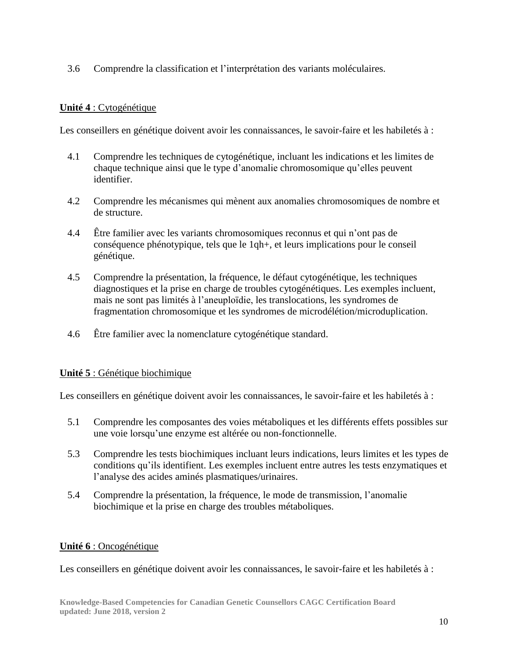3.6 Comprendre la classification et l'interprétation des variants moléculaires.

# **Unité 4** : Cytogénétique

Les conseillers en génétique doivent avoir les connaissances, le savoir-faire et les habiletés à :

- 4.1 Comprendre les techniques de cytogénétique, incluant les indications et les limites de chaque technique ainsi que le type d'anomalie chromosomique qu'elles peuvent identifier.
- 4.2 Comprendre les mécanismes qui mènent aux anomalies chromosomiques de nombre et de structure.
- 4.4 Être familier avec les variants chromosomiques reconnus et qui n'ont pas de conséquence phénotypique, tels que le 1qh+, et leurs implications pour le conseil génétique.
- 4.5 Comprendre la présentation, la fréquence, le défaut cytogénétique, les techniques diagnostiques et la prise en charge de troubles cytogénétiques. Les exemples incluent, mais ne sont pas limités à l'aneuploïdie, les translocations, les syndromes de fragmentation chromosomique et les syndromes de microdélétion/microduplication.
- 4.6 Être familier avec la nomenclature cytogénétique standard.

## **Unité 5** : Génétique biochimique

Les conseillers en génétique doivent avoir les connaissances, le savoir-faire et les habiletés à :

- 5.1 Comprendre les composantes des voies métaboliques et les différents effets possibles sur une voie lorsqu'une enzyme est altérée ou non-fonctionnelle.
- 5.3 Comprendre les tests biochimiques incluant leurs indications, leurs limites et les types de conditions qu'ils identifient. Les exemples incluent entre autres les tests enzymatiques et l'analyse des acides aminés plasmatiques/urinaires.
- 5.4 Comprendre la présentation, la fréquence, le mode de transmission, l'anomalie biochimique et la prise en charge des troubles métaboliques.

## **Unité 6** : Oncogénétique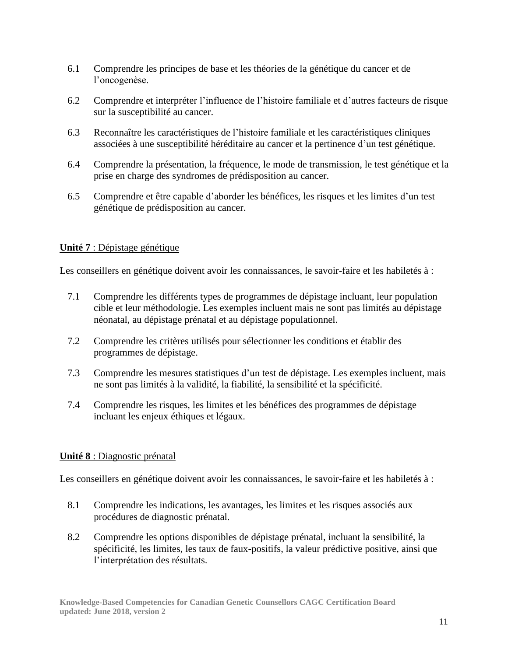- 6.1 Comprendre les principes de base et les théories de la génétique du cancer et de l'oncogenèse.
- 6.2 Comprendre et interpréter l'influence de l'histoire familiale et d'autres facteurs de risque sur la susceptibilité au cancer.
- 6.3 Reconnaître les caractéristiques de l'histoire familiale et les caractéristiques cliniques associées à une susceptibilité héréditaire au cancer et la pertinence d'un test génétique.
- 6.4 Comprendre la présentation, la fréquence, le mode de transmission, le test génétique et la prise en charge des syndromes de prédisposition au cancer.
- 6.5 Comprendre et être capable d'aborder les bénéfices, les risques et les limites d'un test génétique de prédisposition au cancer.

## **Unité 7** : Dépistage génétique

Les conseillers en génétique doivent avoir les connaissances, le savoir-faire et les habiletés à :

- 7.1 Comprendre les différents types de programmes de dépistage incluant, leur population cible et leur méthodologie. Les exemples incluent mais ne sont pas limités au dépistage néonatal, au dépistage prénatal et au dépistage populationnel.
- 7.2 Comprendre les critères utilisés pour sélectionner les conditions et établir des programmes de dépistage.
- 7.3 Comprendre les mesures statistiques d'un test de dépistage. Les exemples incluent, mais ne sont pas limités à la validité, la fiabilité, la sensibilité et la spécificité.
- 7.4 Comprendre les risques, les limites et les bénéfices des programmes de dépistage incluant les enjeux éthiques et légaux.

## **Unité 8** : Diagnostic prénatal

- 8.1 Comprendre les indications, les avantages, les limites et les risques associés aux procédures de diagnostic prénatal.
- 8.2 Comprendre les options disponibles de dépistage prénatal, incluant la sensibilité, la spécificité, les limites, les taux de faux-positifs, la valeur prédictive positive, ainsi que l'interprétation des résultats.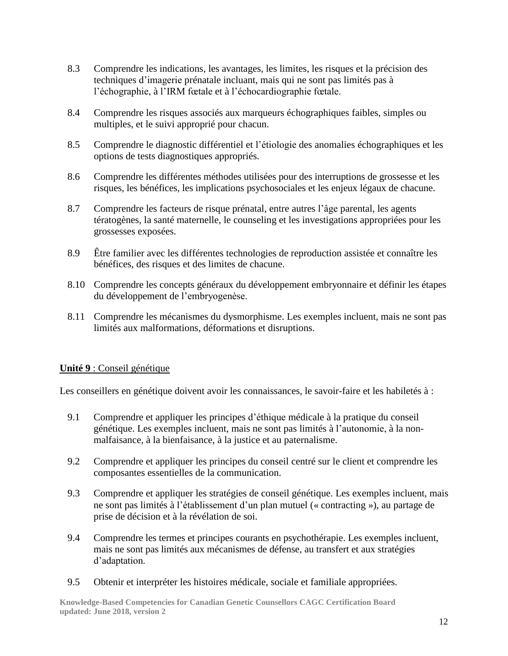- 8.3 Comprendre les indications, les avantages, les limites, les risques et la précision des techniques d'imagerie prénatale incluant, mais qui ne sont pas limités pas à l'échographie, à l'IRM fœtale et à l'échocardiographie fœtale.
- 8.4 Comprendre les risques associés aux marqueurs échographiques faibles, simples ou multiples, et le suivi approprié pour chacun.
- 8.5 Comprendre le diagnostic différentiel et l'étiologie des anomalies échographiques et les options de tests diagnostiques appropriés.
- 8.6 Comprendre les différentes méthodes utilisées pour des interruptions de grossesse et les risques, les bénéfices, les implications psychosociales et les enjeux légaux de chacune.
- 8.7 Comprendre les facteurs de risque prénatal, entre autres l'âge parental, les agents tératogènes, la santé maternelle, le counseling et les investigations appropriées pour les grossesses exposées.
- 8.9 Être familier avec les différentes technologies de reproduction assistée et connaître les bénéfices, des risques et des limites de chacune.
- 8.10 Comprendre les concepts généraux du développement embryonnaire et définir les étapes du développement de l'embryogenèse.
- 8.11 Comprendre les mécanismes du dysmorphisme. Les exemples incluent, mais ne sont pas limités aux malformations, déformations et disruptions.

## **Unité 9** : Conseil génétique

Les conseillers en génétique doivent avoir les connaissances, le savoir-faire et les habiletés à :

- 9.1 Comprendre et appliquer les principes d'éthique médicale à la pratique du conseil génétique. Les exemples incluent, mais ne sont pas limités à l'autonomie, à la nonmalfaisance, à la bienfaisance, à la justice et au paternalisme.
- 9.2 Comprendre et appliquer les principes du conseil centré sur le client et comprendre les composantes essentielles de la communication.
- 9.3 Comprendre et appliquer les stratégies de conseil génétique. Les exemples incluent, mais ne sont pas limités à l'établissement d'un plan mutuel (« contracting »), au partage de prise de décision et à la révélation de soi.
- 9.4 Comprendre les termes et principes courants en psychothérapie. Les exemples incluent, mais ne sont pas limités aux mécanismes de défense, au transfert et aux stratégies d'adaptation.
- 9.5 Obtenir et interpréter les histoires médicale, sociale et familiale appropriées.

**Knowledge-Based Competencies for Canadian Genetic Counsellors CAGC Certification Board updated: June 2018, version 2**